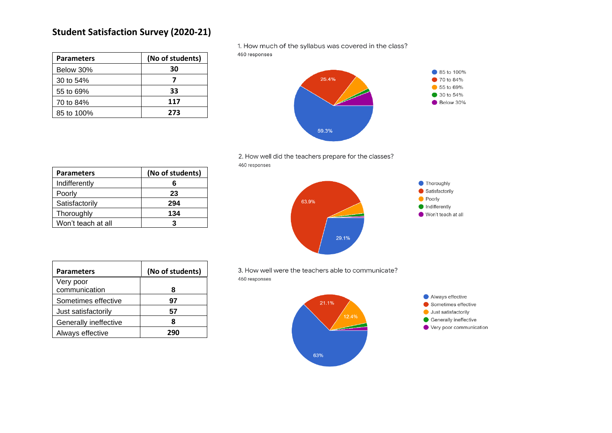| <b>Parameters</b> | (No of students) |
|-------------------|------------------|
| Below 30%         | 30               |
| 30 to 54%         |                  |
| 55 to 69%         | 33               |
| 70 to 84%         | 117              |
| 85 to 100%        | 273              |

1. How much of the syllabus was covered in the class?

460 responses



2. How well did the teachers prepare for the classes? 460 responses

| <b>Parameters</b>  | (No of students) |
|--------------------|------------------|
| Indifferently      | 6                |
| Poorly             | 23               |
| Satisfactorily     | 294              |
| Thoroughly         | 134              |
| Won't teach at all | 3                |



| <b>Parameters</b>          | (No of students) |
|----------------------------|------------------|
| Very poor<br>communication | я                |
| Sometimes effective        | 97               |
| Just satisfactorily        | 57               |
| Generally ineffective      |                  |
| Always effective           | 290              |

3. How well were the teachers able to communicate? 460 responses

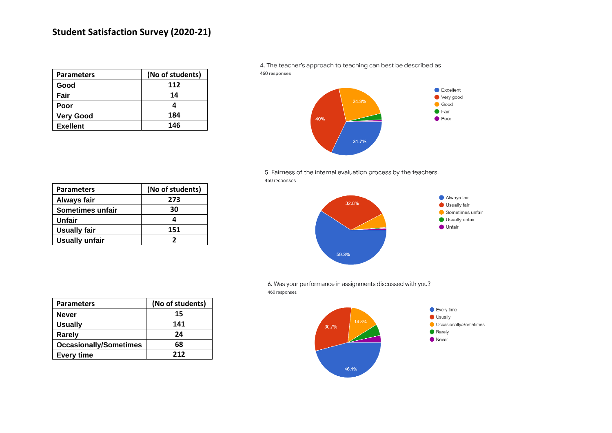| <b>Parameters</b> | (No of students) |
|-------------------|------------------|
| Good              | 112              |
| Fair              | 14               |
| Poor              |                  |
| <b>Very Good</b>  | 184              |
| <b>Exellent</b>   | 146              |

4. The teacher's approach to teaching can best be described as 460 responses





| <b>Parameters</b>     | (No of students) |
|-----------------------|------------------|
| Always fair           | 273              |
| Sometimes unfair      | 30               |
| Unfair                |                  |
| <b>Usually fair</b>   | 151              |
| <b>Usually unfair</b> |                  |



6. Was your performance in assignments discussed with you? 460 responses

| <b>Parameters</b>             | (No of students) |
|-------------------------------|------------------|
| <b>Never</b>                  | 15               |
| <b>Usually</b>                | 141              |
| Rarely                        | 24               |
| <b>Occasionally/Sometimes</b> | 68               |
| <b>Every time</b>             | 212              |

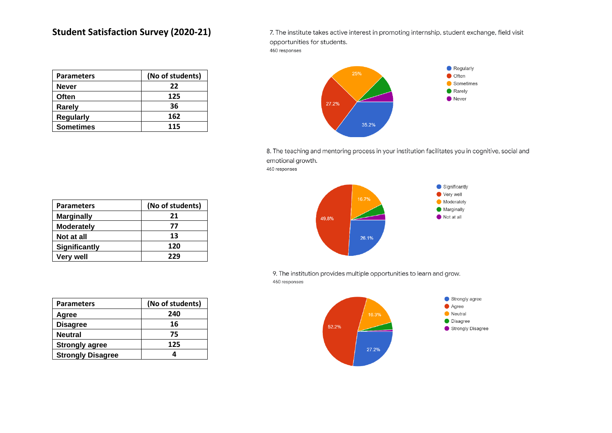| <b>Parameters</b> | (No of students) |
|-------------------|------------------|
| <b>Never</b>      | 22               |
| Often             | 125              |
| Rarely            | 36               |
| <b>Regularly</b>  | 162              |
| <b>Sometimes</b>  | 115              |

7. The institute takes active interest in promoting internship, student exchange, field visit opportunities for students. 460 responses



8. The teaching and mentoring process in your institution facilitates you in cognitive, social and emotional growth. 460 responses

| <b>Parameters</b> | (No of students) |
|-------------------|------------------|
| <b>Marginally</b> | 21               |
| <b>Moderately</b> | 77               |
| Not at all        | 13               |
| Significantly     | 120              |
| <b>Very well</b>  | 229              |

| 49.8% | 16.7% | Significantly<br>c<br>Very well<br>e.<br>Moderately<br>Marginally<br>Not at all |
|-------|-------|---------------------------------------------------------------------------------|
|       | 26.1% |                                                                                 |

9. The institution provides multiple opportunities to learn and grow. 460 responses



| <b>Parameters</b>        | (No of students) |
|--------------------------|------------------|
| Agree                    | 240              |
| <b>Disagree</b>          | 16               |
| <b>Neutral</b>           | 75               |
| <b>Strongly agree</b>    | 125              |
| <b>Strongly Disagree</b> |                  |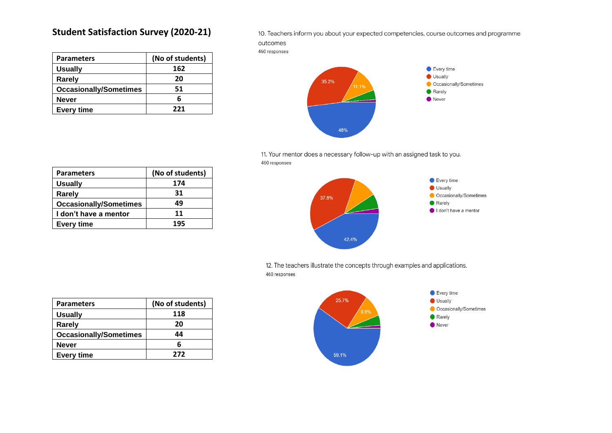| <b>Parameters</b>             | (No of students) |
|-------------------------------|------------------|
| <b>Usually</b>                | 162              |
| Rarely                        | 20               |
| <b>Occasionally/Sometimes</b> | 51               |
| <b>Never</b>                  | 6                |
| <b>Every time</b>             | 221              |

10. Teachers inform you about your expected competencies, course outcomes and programme

outcomes 460 responses



11. Your mentor does a necessary follow-up with an assigned task to you. 460 responses

| <b>Parameters</b>             | (No of students) |
|-------------------------------|------------------|
| <b>Usually</b>                | 174              |
| Rarely                        | 31               |
| <b>Occasionally/Sometimes</b> | 49               |
| I don't have a mentor         | 11               |
| <b>Every time</b>             | 195              |



12. The teachers illustrate the concepts through examples and applications. 460 responses

| <b>Parameters</b>             | (No of students) |
|-------------------------------|------------------|
| <b>Usually</b>                | 118              |
| Rarely                        | 20               |
| <b>Occasionally/Sometimes</b> | 44               |
| <b>Never</b>                  | 6                |
| <b>Every time</b>             | 272              |

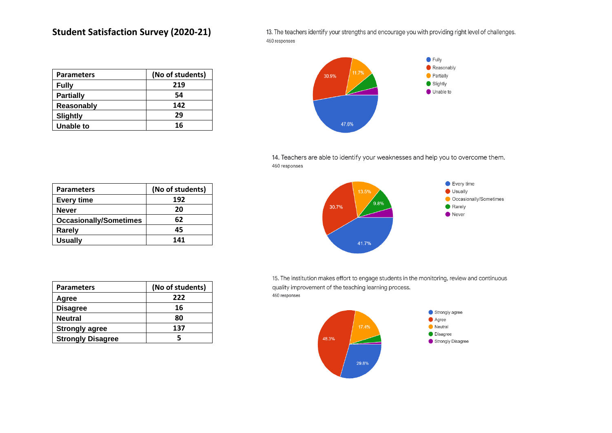13. The teachers identify your strengths and encourage you with providing right level of challenges. 460 responses

| <b>Parameters</b> | (No of students) |
|-------------------|------------------|
| <b>Fully</b>      | 219              |
| <b>Partially</b>  | 54               |
| Reasonably        | 142              |
| Slightly          | 29               |
| Unable to         | 16               |



14. Teachers are able to identify your weaknesses and help you to overcome them. 460 responses

| <b>Parameters</b>             | (No of students) |
|-------------------------------|------------------|
| <b>Every time</b>             | 192              |
| <b>Never</b>                  | 20               |
| <b>Occasionally/Sometimes</b> | 62               |
| Rarely                        | 45               |
| <b>Usually</b>                | 141              |

| <b>Parameters</b>        | (No of students) |
|--------------------------|------------------|
| Agree                    | 222              |
| <b>Disagree</b>          | 16               |
| <b>Neutral</b>           | 80               |
| <b>Strongly agree</b>    | 137              |
| <b>Strongly Disagree</b> |                  |



15. The institution makes effort to engage students in the monitoring, review and continuous quality improvement of the teaching learning process. 460 responses